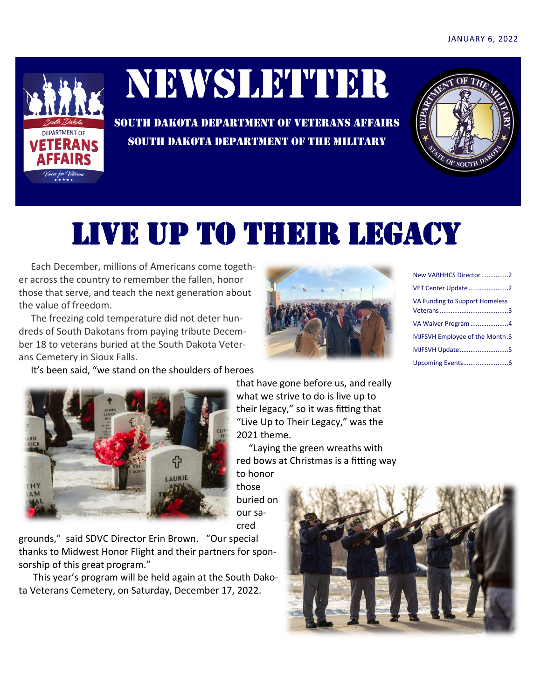

# NEWSLETTER

SOUTH DAKOTA DEPARTMENT OF VETERANS AFFAIRS SOUTH DAKOTA DEPARTMENT OF THE MILITARY



### Live up to their legacy

 Each December, millions of Americans come together across the country to remember the fallen, honor those that serve, and teach the next generation about the value of freedom.

 The freezing cold temperature did not deter hundreds of South Dakotans from paying tribute December 18 to veterans buried at the South Dakota Veterans Cemetery in Sioux Falls.

It's been said, "we stand on the shoulders of heroes



that have gone before us, and really what we strive to do is live up to their legacy," so it was fitting that "Live Up to Their Legacy," was the 2021 theme.

 "Laying the green wreaths with red bows at Christmas is a fitting way to honor

those buried on our sacred

grounds," said SDVC Director Erin Brown. "Our special thanks to Midwest Honor Flight and their partners for sponsorship of this great program."

ናት

 This year's program will be held again at the South Dakota Veterans Cemetery, on Saturday, December 17, 2022.



| New VABHHCS Director2          |
|--------------------------------|
| VET Center Update 2            |
| VA Funding to Support Homeless |
|                                |
| VA Waiver Program 4            |
| MJFSVH Employee of the Month.5 |
| MJFSVH Update5                 |
|                                |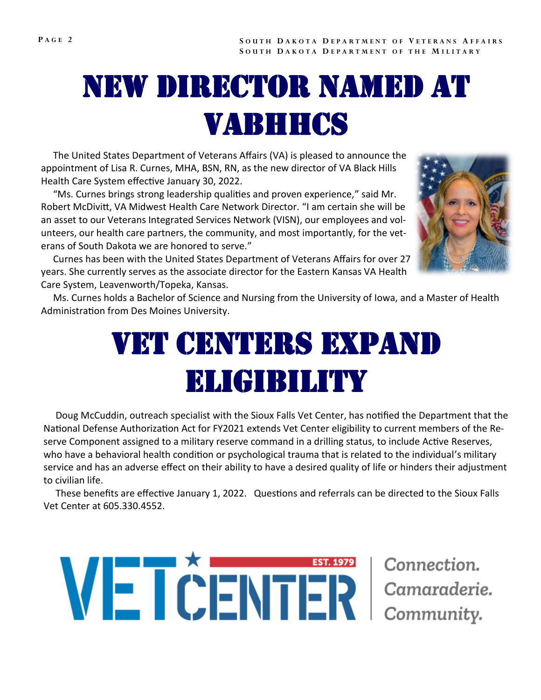## New director named at vabhhcs

 The United States Department of Veterans Affairs (VA) is pleased to announce the appointment of Lisa R. Curnes, MHA, BSN, RN, as the new director of VA Black Hills Health Care System effective January 30, 2022.

 "Ms. Curnes brings strong leadership qualities and proven experience," said Mr. Robert McDivitt, VA Midwest Health Care Network Director. "I am certain she will be an asset to our Veterans Integrated Services Network (VISN), our employees and volunteers, our health care partners, the community, and most importantly, for the veterans of South Dakota we are honored to serve."



 Curnes has been with the United States Department of Veterans Affairs for over 27 years. She currently serves as the associate director for the Eastern Kansas VA Health Care System, Leavenworth/Topeka, Kansas.

 Ms. Curnes holds a Bachelor of Science and Nursing from the University of Iowa, and a Master of Health Administration from Des Moines University.

### VET CENTERS EXPAND eligibility

 Doug McCuddin, outreach specialist with the Sioux Falls Vet Center, has notified the Department that the National Defense Authorization Act for FY2021 extends Vet Center eligibility to current members of the Reserve Component assigned to a military reserve command in a drilling status, to include Active Reserves, who have a behavioral health condition or psychological trauma that is related to the individual's military service and has an adverse effect on their ability to have a desired quality of life or hinders their adjustment to civilian life.

 These benefits are effective January 1, 2022. Questions and referrals can be directed to the Sioux Falls Vet Center at 605.330.4552.

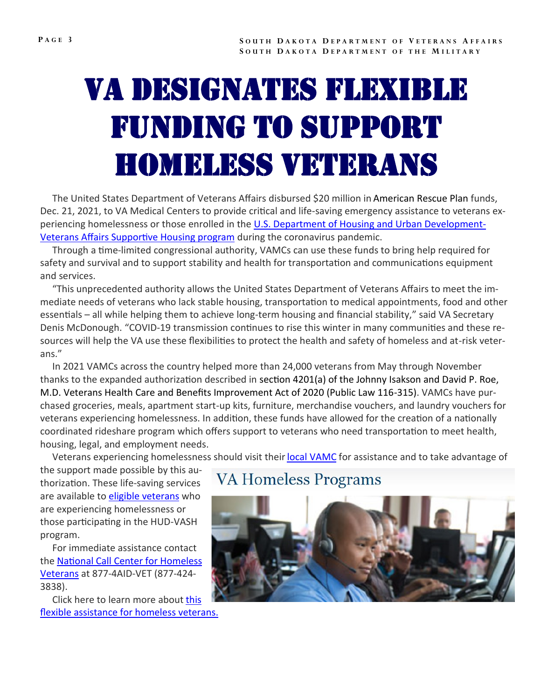## Va designates flexible funding to support homeless veterans

 The United States Department of Veterans Affairs disbursed \$20 million in American Rescue Plan funds, Dec. 21, 2021, to VA Medical Centers to provide critical and life-saving emergency assistance to veterans experiencing homelessness or those enrolled in the [U.S. Department of Housing and Urban Development](https://www.va.gov/homeless/hud-vash.asp)-[Veterans Affairs Supportive Housing program](https://www.va.gov/homeless/hud-vash.asp) during the coronavirus pandemic.

 Through a time-limited congressional authority, VAMCs can use these funds to bring help required for safety and survival and to support stability and health for transportation and communications equipment and services.

 "This unprecedented authority allows the United States Department of Veterans Affairs to meet the immediate needs of veterans who lack stable housing, transportation to medical appointments, food and other essentials – all while helping them to achieve long-term housing and financial stability," said VA Secretary Denis McDonough. "COVID-19 transmission continues to rise this winter in many communities and these resources will help the VA use these flexibilities to protect the health and safety of homeless and at-risk veterans."

 In 2021 VAMCs across the country helped more than 24,000 veterans from May through November thanks to the expanded authorization described in section 4201(a) of the Johnny Isakson and David P. Roe, M.D. Veterans Health Care and Benefits Improvement Act of 2020 (Public Law 116-315). VAMCs have purchased groceries, meals, apartment start-up kits, furniture, merchandise vouchers, and laundry vouchers for veterans experiencing homelessness. In addition, these funds have allowed for the creation of a nationally coordinated rideshare program which offers support to veterans who need transportation to meet health, housing, legal, and employment needs.

Veterans experiencing homelessness should visit their [local VAMC](https://www.va.gov/find-locations/) for assistance and to take advantage of

the support made possible by this authorization. These life-saving services are available to [eligible veterans](https://www.va.gov/homeless/) who are experiencing homelessness or those participating in the HUD-VASH program.

 For immediate assistance contact the [National Call Center for Homeless](https://www.va.gov/HOMELESS/NationalCallCenter.asp)  [Veterans](https://www.va.gov/HOMELESS/NationalCallCenter.asp) at 877-4AID-VET (877-424- 3838).

 Click here to learn more about [this](https://www.va.gov/HOMELESS/Flexible_Assistance_for_Homeless_Veterans.asp)  [flexible assistance for homeless veterans.](https://www.va.gov/HOMELESS/Flexible_Assistance_for_Homeless_Veterans.asp)

#### **VA Homeless Programs**

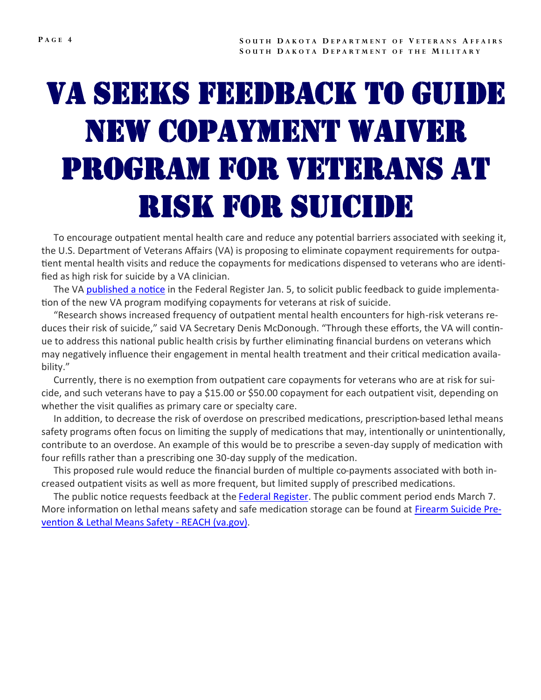# Va seeks feedback to guide new copayment waiver program for veterans at risk for suicide

 To encourage outpatient mental health care and reduce any potential barriers associated with seeking it, the U.S. Department of Veterans Affairs (VA) is proposing to eliminate copayment requirements for outpatient mental health visits and reduce the copayments for medications dispensed to veterans who are identified as high risk for suicide by a VA clinician.

The VA [published a notice](https://www.regulations.gov/document/VA-2022-VHA-0003-0001) in the Federal Register Jan. 5, to solicit public feedback to guide implementation of the new VA program modifying copayments for veterans at risk of suicide.

 "Research shows increased frequency of outpatient mental health encounters for high-risk veterans reduces their risk of suicide," said VA Secretary Denis McDonough. "Through these efforts, the VA will continue to address this national public health crisis by further eliminating financial burdens on veterans which may negatively influence their engagement in mental health treatment and their critical medication availability."

 Currently, there is no exemption from outpatient care copayments for veterans who are at risk for suicide, and such veterans have to pay a \$15.00 or \$50.00 copayment for each outpatient visit, depending on whether the visit qualifies as primary care or specialty care.

 In addition, to decrease the risk of overdose on prescribed medications, prescription-based lethal means safety programs often focus on limiting the supply of medications that may, intentionally or unintentionally, contribute to an overdose. An example of this would be to prescribe a seven-day supply of medication with four refills rather than a prescribing one 30-day supply of the medication.

 This proposed rule would reduce the financial burden of multiple co-payments associated with both increased outpatient visits as well as more frequent, but limited supply of prescribed medications.

The public notice requests feedback at the **Federal Register**. The public comment period ends March 7. More information on lethal means safety and safe medication storage can be found at [Firearm Suicide Pre](https://www.va.gov/reach/lethal-means/#safe-med-storage)[vention & Lethal Means Safety](https://www.va.gov/reach/lethal-means/#safe-med-storage) - REACH (va.gov).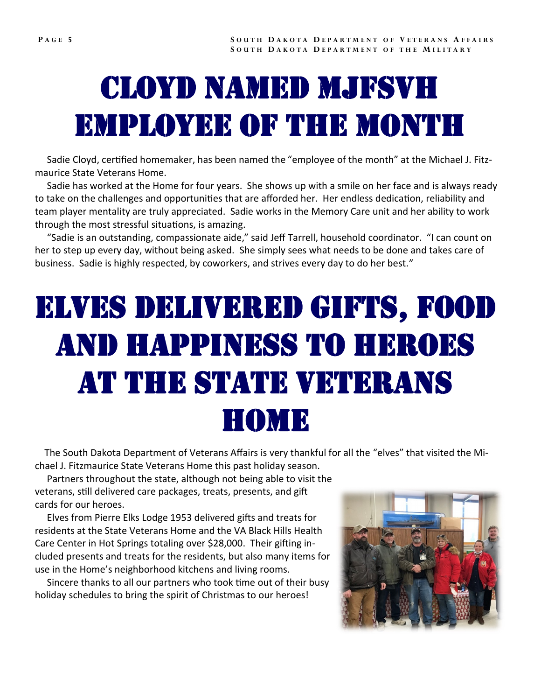### Cloyd named mjfsvh employee of the month

 Sadie Cloyd, certified homemaker, has been named the "employee of the month" at the Michael J. Fitzmaurice State Veterans Home.

 Sadie has worked at the Home for four years. She shows up with a smile on her face and is always ready to take on the challenges and opportunities that are afforded her. Her endless dedication, reliability and team player mentality are truly appreciated. Sadie works in the Memory Care unit and her ability to work through the most stressful situations, is amazing.

 "Sadie is an outstanding, compassionate aide," said Jeff Tarrell, household coordinator. "I can count on her to step up every day, without being asked. She simply sees what needs to be done and takes care of business. Sadie is highly respected, by coworkers, and strives every day to do her best."

# elves delivered gifts, food and happiness to heroes at the state veterans home

 The South Dakota Department of Veterans Affairs is very thankful for all the "elves" that visited the Michael J. Fitzmaurice State Veterans Home this past holiday season.

 Partners throughout the state, although not being able to visit the veterans, still delivered care packages, treats, presents, and gift cards for our heroes.

 Elves from Pierre Elks Lodge 1953 delivered gifts and treats for residents at the State Veterans Home and the VA Black Hills Health Care Center in Hot Springs totaling over \$28,000. Their gifting included presents and treats for the residents, but also many items for use in the Home's neighborhood kitchens and living rooms.

 Sincere thanks to all our partners who took time out of their busy holiday schedules to bring the spirit of Christmas to our heroes!